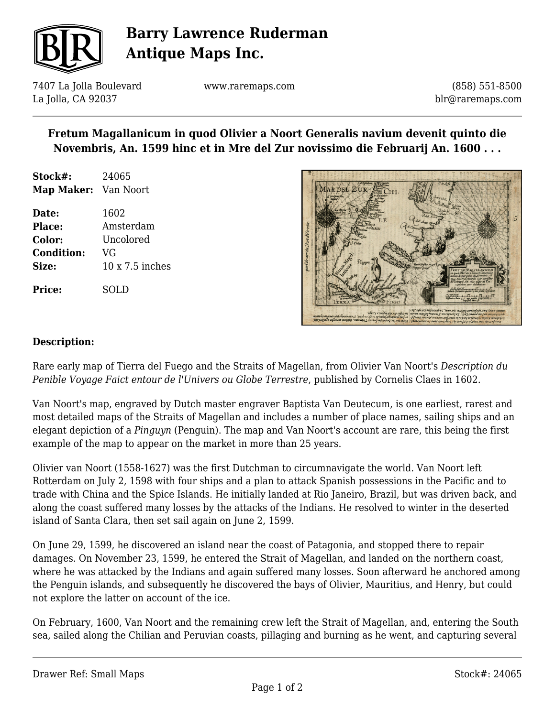

## **Barry Lawrence Ruderman Antique Maps Inc.**

7407 La Jolla Boulevard La Jolla, CA 92037

www.raremaps.com

(858) 551-8500 blr@raremaps.com

### **Fretum Magallanicum in quod Olivier a Noort Generalis navium devenit quinto die Novembris, An. 1599 hinc et in Mre del Zur novissimo die Februarij An. 1600 . . .**

- **Stock#:** 24065 **Map Maker:** Van Noort
- **Date:** 1602 **Place:** Amsterdam **Color:** Uncolored **Condition:** VG **Size:** 10 x 7.5 inches

MAR DEL ZUR

#### **Description:**

**Price:** SOLD

Rare early map of Tierra del Fuego and the Straits of Magellan, from Olivier Van Noort's *Description du Penible Voyage Faict entour de l'Univers ou Globe Terrestre*, published by Cornelis Claes in 1602.

Van Noort's map, engraved by Dutch master engraver Baptista Van Deutecum, is one earliest, rarest and most detailed maps of the Straits of Magellan and includes a number of place names, sailing ships and an elegant depiction of a *Pinguyn* (Penguin). The map and Van Noort's account are rare, this being the first example of the map to appear on the market in more than 25 years.

Olivier van Noort (1558-1627) was the first Dutchman to circumnavigate the world. Van Noort left Rotterdam on July 2, 1598 with four ships and a plan to attack Spanish possessions in the Pacific and to trade with China and the Spice Islands. He initially landed at Rio Janeiro, Brazil, but was driven back, and along the coast suffered many losses by the attacks of the Indians. He resolved to winter in the deserted island of Santa Clara, then set sail again on June 2, 1599.

On June 29, 1599, he discovered an island near the coast of Patagonia, and stopped there to repair damages. On November 23, 1599, he entered the Strait of Magellan, and landed on the northern coast, where he was attacked by the Indians and again suffered many losses. Soon afterward he anchored among the Penguin islands, and subsequently he discovered the bays of Olivier, Mauritius, and Henry, but could not explore the latter on account of the ice.

On February, 1600, Van Noort and the remaining crew left the Strait of Magellan, and, entering the South sea, sailed along the Chilian and Peruvian coasts, pillaging and burning as he went, and capturing several